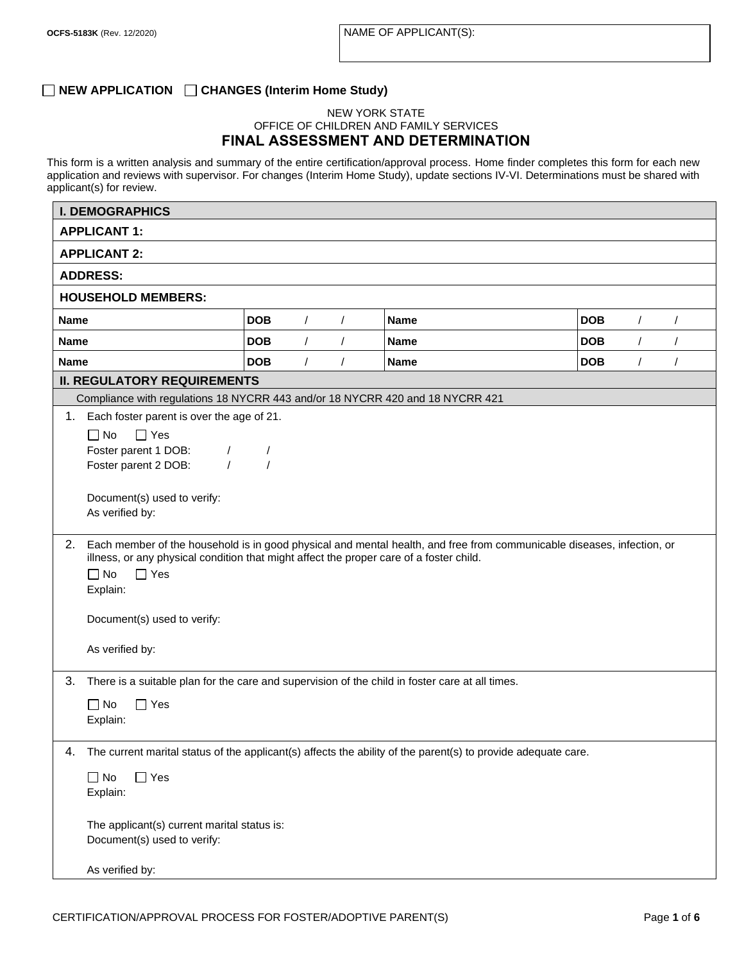# **NEW APPLICATION CHANGES (Interim Home Study)**

### NEW YORK STATE OFFICE OF CHILDREN AND FAMILY SERVICES **FINAL ASSESSMENT AND DETERMINATION**

This form is a written analysis and summary of the entire certification/approval process. Home finder completes this form for each new application and reviews with supervisor. For changes (Interim Home Study), update sections IV-VI. Determinations must be shared with applicant(s) for review.

| <b>I. DEMOGRAPHICS</b>                      |                                                                                                               |            |          |             |                                                                                                                        |            |            |          |  |
|---------------------------------------------|---------------------------------------------------------------------------------------------------------------|------------|----------|-------------|------------------------------------------------------------------------------------------------------------------------|------------|------------|----------|--|
| <b>APPLICANT 1:</b>                         |                                                                                                               |            |          |             |                                                                                                                        |            |            |          |  |
| <b>APPLICANT 2:</b>                         |                                                                                                               |            |          |             |                                                                                                                        |            |            |          |  |
| <b>ADDRESS:</b>                             |                                                                                                               |            |          |             |                                                                                                                        |            |            |          |  |
| <b>HOUSEHOLD MEMBERS:</b>                   |                                                                                                               |            |          |             |                                                                                                                        |            |            |          |  |
| <b>Name</b>                                 | <b>DOB</b>                                                                                                    | $\prime$   | $\prime$ | <b>Name</b> | <b>DOB</b>                                                                                                             | $\sqrt{2}$ | $\prime$   |          |  |
| Name                                        |                                                                                                               | <b>DOB</b> | $\prime$ | $\sqrt{2}$  | <b>Name</b>                                                                                                            | <b>DOB</b> | $\sqrt{2}$ | $\prime$ |  |
| <b>Name</b>                                 |                                                                                                               | <b>DOB</b> | $\prime$ |             | <b>Name</b>                                                                                                            | <b>DOB</b> | $\prime$   | $\prime$ |  |
|                                             | <b>II. REGULATORY REQUIREMENTS</b>                                                                            |            |          |             |                                                                                                                        |            |            |          |  |
|                                             |                                                                                                               |            |          |             | Compliance with regulations 18 NYCRR 443 and/or 18 NYCRR 420 and 18 NYCRR 421                                          |            |            |          |  |
|                                             | 1. Each foster parent is over the age of 21.                                                                  |            |          |             |                                                                                                                        |            |            |          |  |
| $\Box$ No                                   | $\Box$ Yes                                                                                                    |            |          |             |                                                                                                                        |            |            |          |  |
|                                             | Foster parent 1 DOB:<br>$\prime$                                                                              | $\prime$   |          |             |                                                                                                                        |            |            |          |  |
|                                             | $\prime$<br>Foster parent 2 DOB:                                                                              |            |          |             |                                                                                                                        |            |            |          |  |
|                                             |                                                                                                               |            |          |             |                                                                                                                        |            |            |          |  |
| As verified by:                             | Document(s) used to verify:                                                                                   |            |          |             |                                                                                                                        |            |            |          |  |
|                                             |                                                                                                               |            |          |             |                                                                                                                        |            |            |          |  |
| 2.                                          |                                                                                                               |            |          |             | Each member of the household is in good physical and mental health, and free from communicable diseases, infection, or |            |            |          |  |
|                                             | illness, or any physical condition that might affect the proper care of a foster child.                       |            |          |             |                                                                                                                        |            |            |          |  |
| $\Box$ No                                   | $\Box$ Yes                                                                                                    |            |          |             |                                                                                                                        |            |            |          |  |
| Explain:                                    |                                                                                                               |            |          |             |                                                                                                                        |            |            |          |  |
|                                             | Document(s) used to verify:                                                                                   |            |          |             |                                                                                                                        |            |            |          |  |
|                                             |                                                                                                               |            |          |             |                                                                                                                        |            |            |          |  |
| As verified by:                             |                                                                                                               |            |          |             |                                                                                                                        |            |            |          |  |
| 3.                                          |                                                                                                               |            |          |             | There is a suitable plan for the care and supervision of the child in foster care at all times.                        |            |            |          |  |
| $\Box$ No                                   | $\Box$ Yes                                                                                                    |            |          |             |                                                                                                                        |            |            |          |  |
| Explain:                                    |                                                                                                               |            |          |             |                                                                                                                        |            |            |          |  |
|                                             |                                                                                                               |            |          |             |                                                                                                                        |            |            |          |  |
| 4.                                          | The current marital status of the applicant(s) affects the ability of the parent(s) to provide adequate care. |            |          |             |                                                                                                                        |            |            |          |  |
| $\Box$ No                                   | $\Box$ Yes                                                                                                    |            |          |             |                                                                                                                        |            |            |          |  |
| Explain:                                    |                                                                                                               |            |          |             |                                                                                                                        |            |            |          |  |
|                                             |                                                                                                               |            |          |             |                                                                                                                        |            |            |          |  |
| The applicant(s) current marital status is: |                                                                                                               |            |          |             |                                                                                                                        |            |            |          |  |
| Document(s) used to verify:                 |                                                                                                               |            |          |             |                                                                                                                        |            |            |          |  |
| As verified by:                             |                                                                                                               |            |          |             |                                                                                                                        |            |            |          |  |
|                                             |                                                                                                               |            |          |             |                                                                                                                        |            |            |          |  |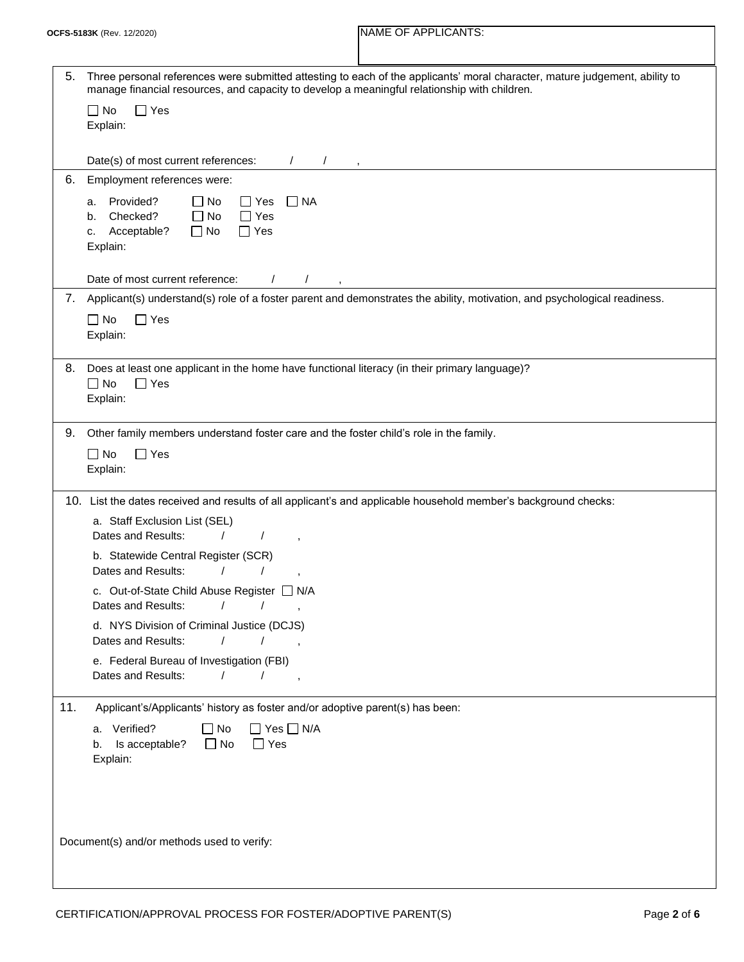| 5.                                         | Three personal references were submitted attesting to each of the applicants' moral character, mature judgement, ability to<br>manage financial resources, and capacity to develop a meaningful relationship with children. |  |  |  |  |
|--------------------------------------------|-----------------------------------------------------------------------------------------------------------------------------------------------------------------------------------------------------------------------------|--|--|--|--|
|                                            | $\Box$ No<br>$\Box$ Yes                                                                                                                                                                                                     |  |  |  |  |
|                                            | Explain:                                                                                                                                                                                                                    |  |  |  |  |
|                                            |                                                                                                                                                                                                                             |  |  |  |  |
|                                            | Date(s) of most current references:<br>$\sqrt{2}$                                                                                                                                                                           |  |  |  |  |
| 6.                                         | Employment references were:                                                                                                                                                                                                 |  |  |  |  |
|                                            | Provided?<br>$\Box$ No<br>$\Box$ NA<br>$\Box$ Yes<br>a.                                                                                                                                                                     |  |  |  |  |
|                                            | Checked?<br>$\Box$ No<br>$\Box$ Yes<br>b.                                                                                                                                                                                   |  |  |  |  |
|                                            | Acceptable?<br>$\Box$ No<br>$\Box$ Yes<br>c.                                                                                                                                                                                |  |  |  |  |
|                                            | Explain:                                                                                                                                                                                                                    |  |  |  |  |
|                                            |                                                                                                                                                                                                                             |  |  |  |  |
|                                            | Date of most current reference:<br>$\prime$                                                                                                                                                                                 |  |  |  |  |
| 7.                                         | Applicant(s) understand(s) role of a foster parent and demonstrates the ability, motivation, and psychological readiness.                                                                                                   |  |  |  |  |
|                                            | $\Box$ No<br>$\Box$ Yes                                                                                                                                                                                                     |  |  |  |  |
|                                            | Explain:                                                                                                                                                                                                                    |  |  |  |  |
|                                            |                                                                                                                                                                                                                             |  |  |  |  |
| 8.                                         | Does at least one applicant in the home have functional literacy (in their primary language)?                                                                                                                               |  |  |  |  |
|                                            | $\Box$ No<br>$\Box$ Yes                                                                                                                                                                                                     |  |  |  |  |
|                                            | Explain:                                                                                                                                                                                                                    |  |  |  |  |
| 9.                                         |                                                                                                                                                                                                                             |  |  |  |  |
|                                            | Other family members understand foster care and the foster child's role in the family.                                                                                                                                      |  |  |  |  |
|                                            | $\Box$ No<br>$\Box$ Yes                                                                                                                                                                                                     |  |  |  |  |
|                                            | Explain:                                                                                                                                                                                                                    |  |  |  |  |
|                                            | 10. List the dates received and results of all applicant's and applicable household member's background checks:                                                                                                             |  |  |  |  |
|                                            | a. Staff Exclusion List (SEL)                                                                                                                                                                                               |  |  |  |  |
|                                            | Dates and Results:                                                                                                                                                                                                          |  |  |  |  |
|                                            | b. Statewide Central Register (SCR)                                                                                                                                                                                         |  |  |  |  |
|                                            | Dates and Results:                                                                                                                                                                                                          |  |  |  |  |
|                                            | c. Out-of-State Child Abuse Register [ N/A                                                                                                                                                                                  |  |  |  |  |
|                                            | Dates and Results: / /                                                                                                                                                                                                      |  |  |  |  |
|                                            | d. NYS Division of Criminal Justice (DCJS)                                                                                                                                                                                  |  |  |  |  |
|                                            | Dates and Results:<br>$\prime$<br>$\prime$<br>$\sim$                                                                                                                                                                        |  |  |  |  |
|                                            | e. Federal Bureau of Investigation (FBI)                                                                                                                                                                                    |  |  |  |  |
|                                            | Dates and Results:<br>$\sqrt{ }$                                                                                                                                                                                            |  |  |  |  |
|                                            |                                                                                                                                                                                                                             |  |  |  |  |
| 11.                                        | Applicant's/Applicants' history as foster and/or adoptive parent(s) has been:                                                                                                                                               |  |  |  |  |
|                                            | a. Verified?<br>$\Box$ No<br>$\Box$ Yes $\Box$ N/A                                                                                                                                                                          |  |  |  |  |
|                                            | $\Box$ No<br>b. Is acceptable?<br>$\Box$ Yes                                                                                                                                                                                |  |  |  |  |
|                                            | Explain:                                                                                                                                                                                                                    |  |  |  |  |
|                                            |                                                                                                                                                                                                                             |  |  |  |  |
|                                            |                                                                                                                                                                                                                             |  |  |  |  |
|                                            |                                                                                                                                                                                                                             |  |  |  |  |
|                                            |                                                                                                                                                                                                                             |  |  |  |  |
| Document(s) and/or methods used to verify: |                                                                                                                                                                                                                             |  |  |  |  |
|                                            |                                                                                                                                                                                                                             |  |  |  |  |
|                                            |                                                                                                                                                                                                                             |  |  |  |  |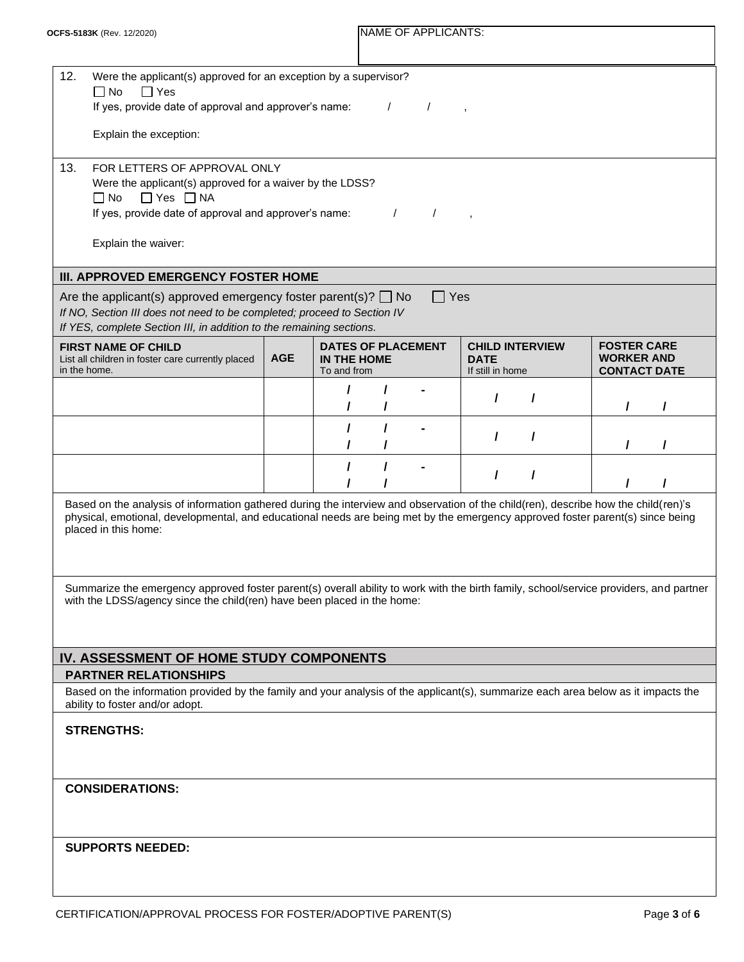| 12.<br>Were the applicant(s) approved for an exception by a supervisor?<br>$\Box$ No<br>$\Box$ Yes                                                                                                                                                                                            |  |                                                         |  |            |                                                           |          |   |                                                                |  |
|-----------------------------------------------------------------------------------------------------------------------------------------------------------------------------------------------------------------------------------------------------------------------------------------------|--|---------------------------------------------------------|--|------------|-----------------------------------------------------------|----------|---|----------------------------------------------------------------|--|
| If yes, provide date of approval and approver's name:<br>$\prime$                                                                                                                                                                                                                             |  |                                                         |  |            |                                                           |          |   |                                                                |  |
| Explain the exception:                                                                                                                                                                                                                                                                        |  |                                                         |  |            |                                                           |          |   |                                                                |  |
| 13.<br>FOR LETTERS OF APPROVAL ONLY<br>Were the applicant(s) approved for a waiver by the LDSS?<br>$\Box$ Yes $\Box$ NA<br>$\Box$ No<br>If yes, provide date of approval and approver's name:<br>$\prime$<br>$\prime$<br>Explain the waiver:                                                  |  |                                                         |  |            |                                                           |          |   |                                                                |  |
|                                                                                                                                                                                                                                                                                               |  |                                                         |  |            |                                                           |          |   |                                                                |  |
| III. APPROVED EMERGENCY FOSTER HOME                                                                                                                                                                                                                                                           |  |                                                         |  |            |                                                           |          |   |                                                                |  |
| Are the applicant(s) approved emergency foster parent(s)? $\Box$ No<br>If NO, Section III does not need to be completed; proceed to Section IV                                                                                                                                                |  |                                                         |  | $\Box$ Yes |                                                           |          |   |                                                                |  |
| If YES, complete Section III, in addition to the remaining sections.                                                                                                                                                                                                                          |  |                                                         |  |            |                                                           |          |   |                                                                |  |
| <b>FIRST NAME OF CHILD</b><br><b>AGE</b><br>List all children in foster care currently placed<br>in the home.                                                                                                                                                                                 |  | <b>DATES OF PLACEMENT</b><br>IN THE HOME<br>To and from |  |            | <b>CHILD INTERVIEW</b><br><b>DATE</b><br>If still in home |          |   | <b>FOSTER CARE</b><br><b>WORKER AND</b><br><b>CONTACT DATE</b> |  |
|                                                                                                                                                                                                                                                                                               |  |                                                         |  |            | $\prime$                                                  | $\prime$ |   |                                                                |  |
|                                                                                                                                                                                                                                                                                               |  |                                                         |  |            |                                                           |          |   |                                                                |  |
|                                                                                                                                                                                                                                                                                               |  | $\prime$                                                |  |            | I                                                         | 7        | T | $\prime$                                                       |  |
|                                                                                                                                                                                                                                                                                               |  |                                                         |  |            | I                                                         | $\prime$ |   |                                                                |  |
| Based on the analysis of information gathered during the interview and observation of the child(ren), describe how the child(ren)'s<br>physical, emotional, developmental, and educational needs are being met by the emergency approved foster parent(s) since being<br>placed in this home: |  |                                                         |  |            |                                                           |          |   |                                                                |  |
| Summarize the emergency approved foster parent(s) overall ability to work with the birth family, school/service providers, and partner<br>with the LDSS/agency since the child(ren) have been placed in the home:                                                                             |  |                                                         |  |            |                                                           |          |   |                                                                |  |
|                                                                                                                                                                                                                                                                                               |  |                                                         |  |            |                                                           |          |   |                                                                |  |
| IV. ASSESSMENT OF HOME STUDY COMPONENTS<br><b>PARTNER RELATIONSHIPS</b>                                                                                                                                                                                                                       |  |                                                         |  |            |                                                           |          |   |                                                                |  |
| Based on the information provided by the family and your analysis of the applicant(s), summarize each area below as it impacts the<br>ability to foster and/or adopt.                                                                                                                         |  |                                                         |  |            |                                                           |          |   |                                                                |  |
| <b>STRENGTHS:</b>                                                                                                                                                                                                                                                                             |  |                                                         |  |            |                                                           |          |   |                                                                |  |
| <b>CONSIDERATIONS:</b>                                                                                                                                                                                                                                                                        |  |                                                         |  |            |                                                           |          |   |                                                                |  |
| <b>SUPPORTS NEEDED:</b>                                                                                                                                                                                                                                                                       |  |                                                         |  |            |                                                           |          |   |                                                                |  |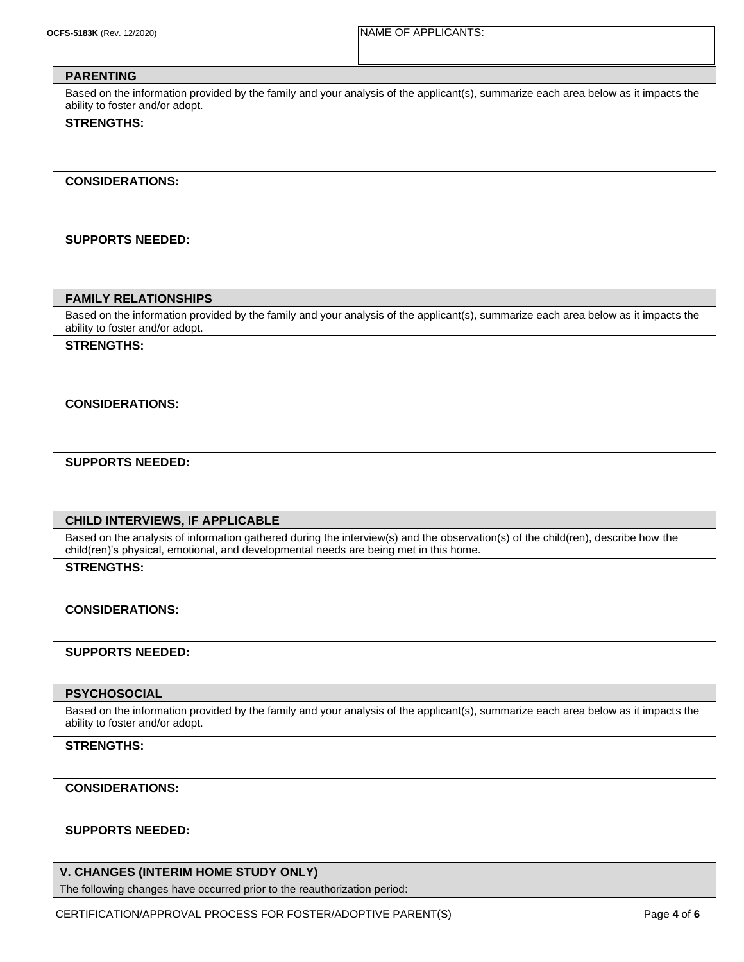## **PARENTING**

Based on the information provided by the family and your analysis of the applicant(s), summarize each area below as it impacts the ability to foster and/or adopt.

### **STRENGTHS:**

#### **CONSIDERATIONS:**

### **SUPPORTS NEEDED:**

### **FAMILY RELATIONSHIPS**

Based on the information provided by the family and your analysis of the applicant(s), summarize each area below as it impacts the ability to foster and/or adopt.

#### **STRENGTHS:**

### **CONSIDERATIONS:**

### **SUPPORTS NEEDED:**

### **CHILD INTERVIEWS, IF APPLICABLE**

Based on the analysis of information gathered during the interview(s) and the observation(s) of the child(ren), describe how the child(ren)'s physical, emotional, and developmental needs are being met in this home.

### **STRENGTHS:**

### **CONSIDERATIONS:**

### **SUPPORTS NEEDED:**

### **PSYCHOSOCIAL**

Based on the information provided by the family and your analysis of the applicant(s), summarize each area below as it impacts the ability to foster and/or adopt.

# **STRENGTHS:**

### **CONSIDERATIONS:**

### **SUPPORTS NEEDED:**

### **V. CHANGES (INTERIM HOME STUDY ONLY)**

The following changes have occurred prior to the reauthorization period: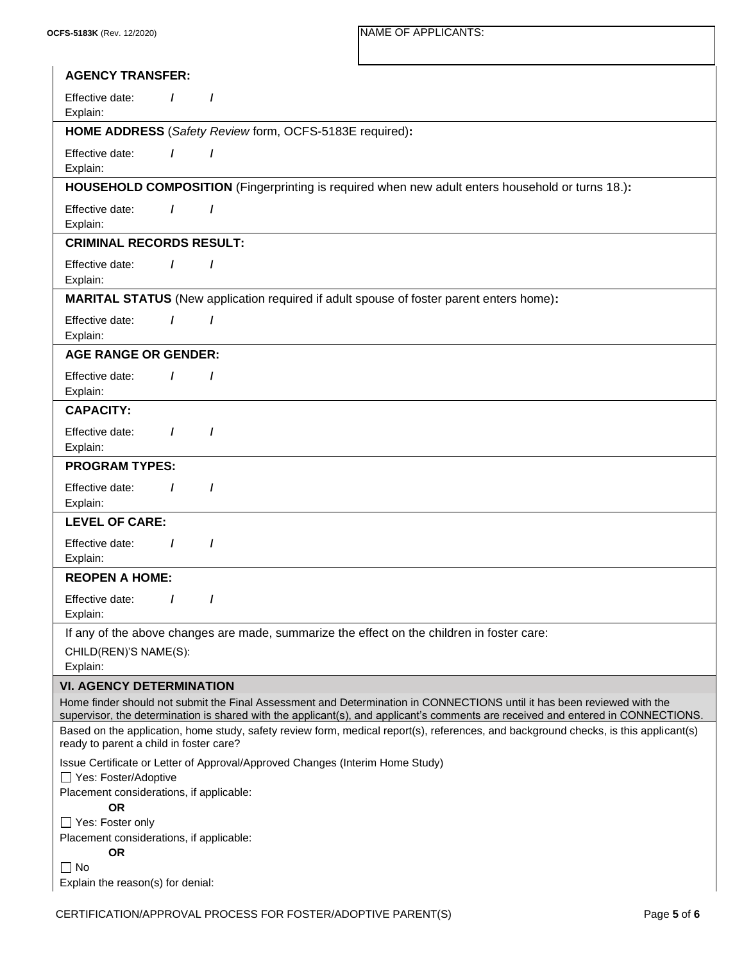| <b>AGENCY TRANSFER:</b>                                                                                                                                                                                                                                     |                                                                                                |  |  |  |  |  |  |  |
|-------------------------------------------------------------------------------------------------------------------------------------------------------------------------------------------------------------------------------------------------------------|------------------------------------------------------------------------------------------------|--|--|--|--|--|--|--|
| Effective date:<br>$\prime$<br>$\prime$<br>Explain:                                                                                                                                                                                                         |                                                                                                |  |  |  |  |  |  |  |
| HOME ADDRESS (Safety Review form, OCFS-5183E required):                                                                                                                                                                                                     |                                                                                                |  |  |  |  |  |  |  |
| Effective date:<br>$\prime$<br>$\prime$<br>Explain:                                                                                                                                                                                                         |                                                                                                |  |  |  |  |  |  |  |
| <b>HOUSEHOLD COMPOSITION</b> (Fingerprinting is required when new adult enters household or turns 18.):                                                                                                                                                     |                                                                                                |  |  |  |  |  |  |  |
| Effective date:<br>$\prime$<br>$\prime$<br>Explain:                                                                                                                                                                                                         |                                                                                                |  |  |  |  |  |  |  |
| <b>CRIMINAL RECORDS RESULT:</b>                                                                                                                                                                                                                             |                                                                                                |  |  |  |  |  |  |  |
| Effective date:<br>$\prime$<br>$\prime$<br>Explain:                                                                                                                                                                                                         |                                                                                                |  |  |  |  |  |  |  |
|                                                                                                                                                                                                                                                             | <b>MARITAL STATUS</b> (New application required if adult spouse of foster parent enters home): |  |  |  |  |  |  |  |
| Effective date:<br>$\prime$<br>$\prime$<br>Explain:                                                                                                                                                                                                         |                                                                                                |  |  |  |  |  |  |  |
| <b>AGE RANGE OR GENDER:</b>                                                                                                                                                                                                                                 |                                                                                                |  |  |  |  |  |  |  |
| Effective date:<br>$\prime$<br>$\prime$<br>Explain:                                                                                                                                                                                                         |                                                                                                |  |  |  |  |  |  |  |
| <b>CAPACITY:</b>                                                                                                                                                                                                                                            |                                                                                                |  |  |  |  |  |  |  |
| Effective date:<br>$\prime$<br>$\prime$<br>Explain:                                                                                                                                                                                                         |                                                                                                |  |  |  |  |  |  |  |
| <b>PROGRAM TYPES:</b>                                                                                                                                                                                                                                       |                                                                                                |  |  |  |  |  |  |  |
| Effective date:<br>$\prime$<br>$\prime$<br>Explain:                                                                                                                                                                                                         |                                                                                                |  |  |  |  |  |  |  |
| <b>LEVEL OF CARE:</b>                                                                                                                                                                                                                                       |                                                                                                |  |  |  |  |  |  |  |
| Effective date:<br>7<br>1<br>Explain:                                                                                                                                                                                                                       |                                                                                                |  |  |  |  |  |  |  |
| <b>REOPEN A HOME:</b>                                                                                                                                                                                                                                       |                                                                                                |  |  |  |  |  |  |  |
| Effective date:<br>Explain:                                                                                                                                                                                                                                 |                                                                                                |  |  |  |  |  |  |  |
|                                                                                                                                                                                                                                                             | If any of the above changes are made, summarize the effect on the children in foster care:     |  |  |  |  |  |  |  |
| CHILD(REN)'S NAME(S):<br>Explain:                                                                                                                                                                                                                           |                                                                                                |  |  |  |  |  |  |  |
| <b>VI. AGENCY DETERMINATION</b>                                                                                                                                                                                                                             |                                                                                                |  |  |  |  |  |  |  |
| Home finder should not submit the Final Assessment and Determination in CONNECTIONS until it has been reviewed with the<br>supervisor, the determination is shared with the applicant(s), and applicant's comments are received and entered in CONNECTIONS. |                                                                                                |  |  |  |  |  |  |  |
| Based on the application, home study, safety review form, medical report(s), references, and background checks, is this applicant(s)<br>ready to parent a child in foster care?                                                                             |                                                                                                |  |  |  |  |  |  |  |
| Issue Certificate or Letter of Approval/Approved Changes (Interim Home Study)<br>Yes: Foster/Adoptive<br>Placement considerations, if applicable:<br><b>OR</b>                                                                                              |                                                                                                |  |  |  |  |  |  |  |
| □ Yes: Foster only<br>Placement considerations, if applicable:<br><b>OR</b><br>$\Box$ No                                                                                                                                                                    |                                                                                                |  |  |  |  |  |  |  |
| Explain the reason(s) for denial:                                                                                                                                                                                                                           |                                                                                                |  |  |  |  |  |  |  |